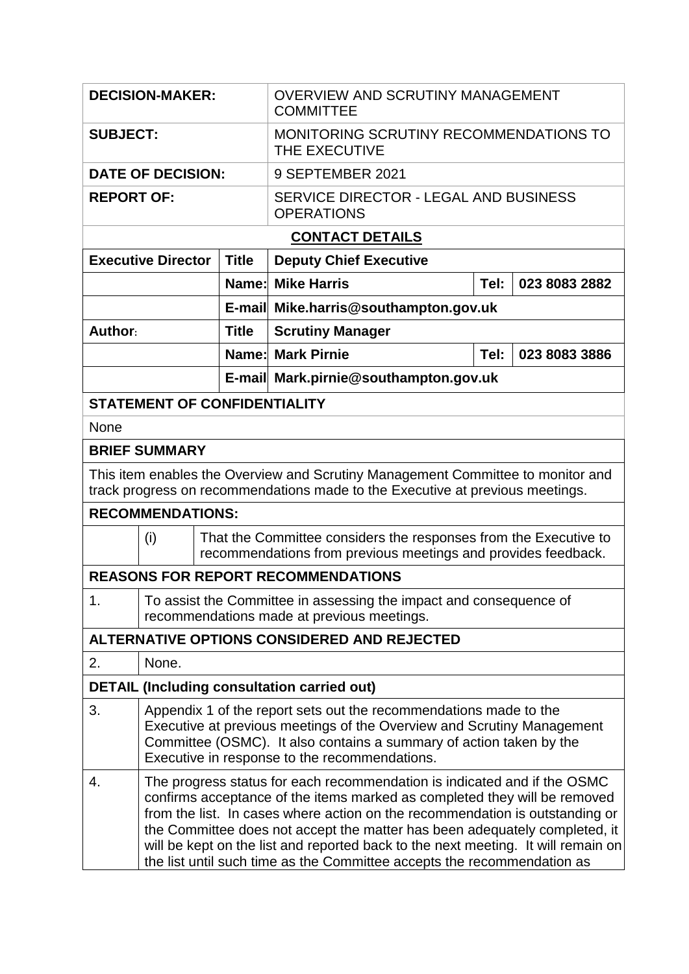| <b>DECISION-MAKER:</b>                                                                                                                                           |                                                                                                                                                                                                                                                                                                                                                                                                                                                                                     |              | <b>OVERVIEW AND SCRUTINY MANAGEMENT</b><br><b>COMMITTEE</b>                                                                       |                       |               |  |  |  |  |
|------------------------------------------------------------------------------------------------------------------------------------------------------------------|-------------------------------------------------------------------------------------------------------------------------------------------------------------------------------------------------------------------------------------------------------------------------------------------------------------------------------------------------------------------------------------------------------------------------------------------------------------------------------------|--------------|-----------------------------------------------------------------------------------------------------------------------------------|-----------------------|---------------|--|--|--|--|
| <b>SUBJECT:</b>                                                                                                                                                  |                                                                                                                                                                                                                                                                                                                                                                                                                                                                                     |              | MONITORING SCRUTINY RECOMMENDATIONS TO<br>THE EXECUTIVE                                                                           |                       |               |  |  |  |  |
| <b>DATE OF DECISION:</b>                                                                                                                                         |                                                                                                                                                                                                                                                                                                                                                                                                                                                                                     |              | 9 SEPTEMBER 2021                                                                                                                  |                       |               |  |  |  |  |
| <b>REPORT OF:</b>                                                                                                                                                |                                                                                                                                                                                                                                                                                                                                                                                                                                                                                     |              | SERVICE DIRECTOR - LEGAL AND BUSINESS<br><b>OPERATIONS</b>                                                                        |                       |               |  |  |  |  |
| <b>CONTACT DETAILS</b>                                                                                                                                           |                                                                                                                                                                                                                                                                                                                                                                                                                                                                                     |              |                                                                                                                                   |                       |               |  |  |  |  |
| <b>Executive Director</b>                                                                                                                                        |                                                                                                                                                                                                                                                                                                                                                                                                                                                                                     | <b>Title</b> | <b>Deputy Chief Executive</b>                                                                                                     |                       |               |  |  |  |  |
|                                                                                                                                                                  |                                                                                                                                                                                                                                                                                                                                                                                                                                                                                     |              | <b>Name: Mike Harris</b>                                                                                                          | Tel:<br>023 8083 2882 |               |  |  |  |  |
|                                                                                                                                                                  |                                                                                                                                                                                                                                                                                                                                                                                                                                                                                     |              | E-mail Mike.harris@southampton.gov.uk                                                                                             |                       |               |  |  |  |  |
| Author:                                                                                                                                                          |                                                                                                                                                                                                                                                                                                                                                                                                                                                                                     | <b>Title</b> | <b>Scrutiny Manager</b>                                                                                                           |                       |               |  |  |  |  |
|                                                                                                                                                                  |                                                                                                                                                                                                                                                                                                                                                                                                                                                                                     |              | <b>Name: Mark Pirnie</b>                                                                                                          | Tel:                  | 023 8083 3886 |  |  |  |  |
|                                                                                                                                                                  |                                                                                                                                                                                                                                                                                                                                                                                                                                                                                     |              | E-mail Mark.pirnie@southampton.gov.uk                                                                                             |                       |               |  |  |  |  |
| <b>STATEMENT OF CONFIDENTIALITY</b>                                                                                                                              |                                                                                                                                                                                                                                                                                                                                                                                                                                                                                     |              |                                                                                                                                   |                       |               |  |  |  |  |
| None                                                                                                                                                             |                                                                                                                                                                                                                                                                                                                                                                                                                                                                                     |              |                                                                                                                                   |                       |               |  |  |  |  |
| <b>BRIEF SUMMARY</b>                                                                                                                                             |                                                                                                                                                                                                                                                                                                                                                                                                                                                                                     |              |                                                                                                                                   |                       |               |  |  |  |  |
| This item enables the Overview and Scrutiny Management Committee to monitor and<br>track progress on recommendations made to the Executive at previous meetings. |                                                                                                                                                                                                                                                                                                                                                                                                                                                                                     |              |                                                                                                                                   |                       |               |  |  |  |  |
| <b>RECOMMENDATIONS:</b>                                                                                                                                          |                                                                                                                                                                                                                                                                                                                                                                                                                                                                                     |              |                                                                                                                                   |                       |               |  |  |  |  |
| (i)                                                                                                                                                              |                                                                                                                                                                                                                                                                                                                                                                                                                                                                                     |              | That the Committee considers the responses from the Executive to<br>recommendations from previous meetings and provides feedback. |                       |               |  |  |  |  |
| <b>REASONS FOR REPORT RECOMMENDATIONS</b>                                                                                                                        |                                                                                                                                                                                                                                                                                                                                                                                                                                                                                     |              |                                                                                                                                   |                       |               |  |  |  |  |
| 1.                                                                                                                                                               | To assist the Committee in assessing the impact and consequence of<br>recommendations made at previous meetings.                                                                                                                                                                                                                                                                                                                                                                    |              |                                                                                                                                   |                       |               |  |  |  |  |
| ALTERNATIVE OPTIONS CONSIDERED AND REJECTED                                                                                                                      |                                                                                                                                                                                                                                                                                                                                                                                                                                                                                     |              |                                                                                                                                   |                       |               |  |  |  |  |
| 2.                                                                                                                                                               | None.                                                                                                                                                                                                                                                                                                                                                                                                                                                                               |              |                                                                                                                                   |                       |               |  |  |  |  |
| <b>DETAIL (Including consultation carried out)</b>                                                                                                               |                                                                                                                                                                                                                                                                                                                                                                                                                                                                                     |              |                                                                                                                                   |                       |               |  |  |  |  |
| 3.                                                                                                                                                               | Appendix 1 of the report sets out the recommendations made to the<br>Executive at previous meetings of the Overview and Scrutiny Management<br>Committee (OSMC). It also contains a summary of action taken by the<br>Executive in response to the recommendations.                                                                                                                                                                                                                 |              |                                                                                                                                   |                       |               |  |  |  |  |
| 4.                                                                                                                                                               | The progress status for each recommendation is indicated and if the OSMC<br>confirms acceptance of the items marked as completed they will be removed<br>from the list. In cases where action on the recommendation is outstanding or<br>the Committee does not accept the matter has been adequately completed, it<br>will be kept on the list and reported back to the next meeting. It will remain on<br>the list until such time as the Committee accepts the recommendation as |              |                                                                                                                                   |                       |               |  |  |  |  |